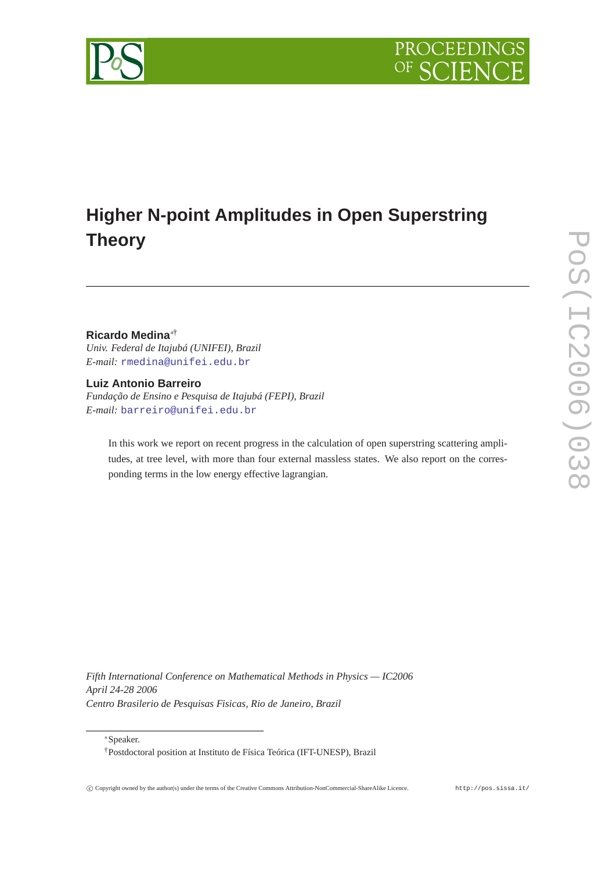

# **Higher N-point Amplitudes in Open Superstring Theory**

# **Ricardo Medina**∗†

*Univ. Federal de Itajubá (UNIFEI), Brazil E-mail:* [rmedina@unifei.edu.br](mailto:rmedina@unifei.edu.br)

**Luiz Antonio Barreiro** *Fundação de Ensino e Pesquisa de Itajubá (FEPI), Brazil E-mail:* [barreiro@unifei.edu.br](mailto:barreiro@unifei.edu.br)

In this work we report on recent progress in the calculation of open superstring scattering amplitudes, at tree level, with more than four external massless states. We also report on the corresponding terms in the low energy effective lagrangian.

*Fifth International Conference on Mathematical Methods in Physics — IC2006 April 24-28 2006 Centro Brasilerio de Pesquisas Fisicas, Rio de Janeiro, Brazil*

<sup>∗</sup>Speaker.

<sup>†</sup>Postdoctoral position at Instituto de Física Teórica (IFT-UNESP), Brazil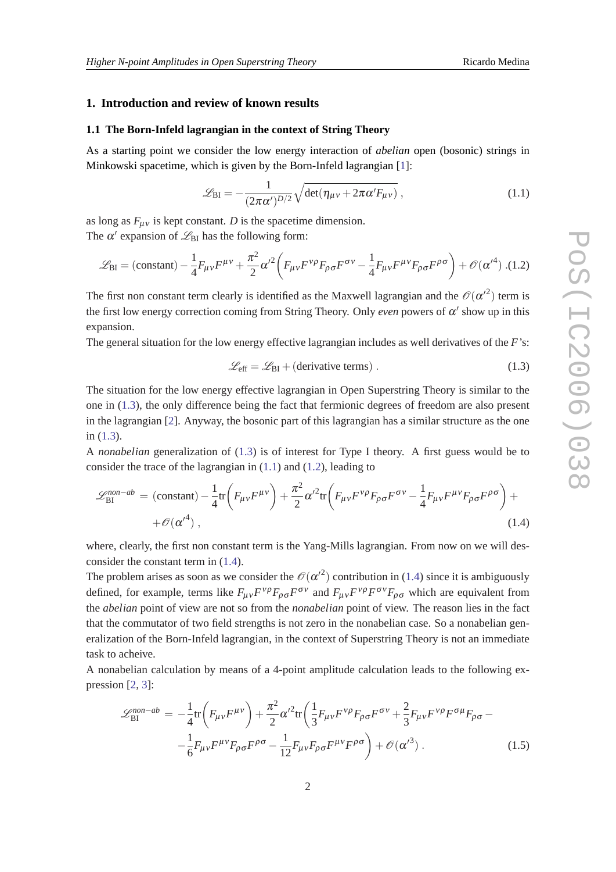#### <span id="page-1-0"></span>**1. Introduction and review of known results**

#### **1.1 The Born-Infeld lagrangian in the context of String Theory**

As a starting point we consider the low energy interaction of *abelian* open (bosonic) strings in Minkowski spacetime, which is given by the Born-Infeld lagrangian [[1](#page-12-0)]:

$$
\mathcal{L}_{\rm BI} = -\frac{1}{(2\pi\alpha')^{D/2}}\sqrt{\det(\eta_{\mu\nu} + 2\pi\alpha' F_{\mu\nu})},\qquad(1.1)
$$

as long as  $F_{\mu\nu}$  is kept constant. *D* is the spacetime dimension. The  $\alpha'$  expansion of  $\mathcal{L}_{\text{BI}}$  has the following form:

$$
\mathcal{L}_{\rm BI} = \left(\text{constant}\right) - \frac{1}{4} F_{\mu\nu} F^{\mu\nu} + \frac{\pi^2}{2} {\alpha'}^2 \left( F_{\mu\nu} F^{\nu\rho} F_{\rho\sigma} F^{\sigma\nu} - \frac{1}{4} F_{\mu\nu} F^{\mu\nu} F_{\rho\sigma} F^{\rho\sigma} \right) + \mathcal{O}({\alpha'}^4) \tag{1.2}
$$

The first non constant term clearly is identified as the Maxwell lagrangian and the  $\mathcal{O}(\alpha'^2)$  term is the first low energy correction coming from String Theory. Only *even* powers of  $\alpha'$  show up in this expansion.

The general situation for the low energy effective lagrangian includes as well derivatives of the *F*'s:

$$
\mathcal{L}_{\text{eff}} = \mathcal{L}_{\text{BI}} + (\text{derivative terms}) \tag{1.3}
$$

The situation for the low energy effective lagrangian in Open Superstring Theory is similar to the one in (1.3), the only difference being the fact that fermionic degrees of freedom are also present in the lagrangian [[2](#page-12-0)]. Anyway, the bosonic part of this lagrangian has a similar structure as the one in (1.3).

A *nonabelian* generalization of (1.3) is of interest for Type I theory. A first guess would be to consider the trace of the lagrangian in (1.1) and (1.2), leading to

$$
\mathcal{L}_{\text{BI}}^{\text{non-}ab} = (\text{constant}) - \frac{1}{4} \text{tr} \left( F_{\mu\nu} F^{\mu\nu} \right) + \frac{\pi^2}{2} \alpha'^2 \text{tr} \left( F_{\mu\nu} F^{\nu\rho} F_{\rho\sigma} F^{\sigma\nu} - \frac{1}{4} F_{\mu\nu} F^{\mu\nu} F_{\rho\sigma} F^{\rho\sigma} \right) +
$$
  
+  $\mathcal{O}(\alpha'^4)$ , (1.4)

where, clearly, the first non constant term is the Yang-Mills lagrangian. From now on we will desconsider the constant term in (1.4).

The problem arises as soon as we consider the  $\mathcal{O}(\alpha'^2)$  contribution in (1.4) since it is ambiguously defined, for example, terms like  $F_{\mu\nu}F^{\nu\rho}F_{\rho\sigma}F^{\sigma\nu}$  and  $F_{\mu\nu}F^{\nu\rho}F^{\sigma\nu}F_{\rho\sigma}$  which are equivalent from the *abelian* point of view are not so from the *nonabelian* point of view. The reason lies in the fact that the commutator of two field strengths is not zero in the nonabelian case. So a nonabelian generalization of the Born-Infeld lagrangian, in the context of Superstring Theory is not an immediate task to acheive.

A nonabelian calculation by means of a 4-point amplitude calculation leads to the following expression [\[2,](#page-12-0) [3](#page-12-0)]:

$$
\mathcal{L}_{\text{BI}}^{\text{non-}ab} = -\frac{1}{4} \text{tr} \left( F_{\mu\nu} F^{\mu\nu} \right) + \frac{\pi^2}{2} {\alpha'}^2 \text{tr} \left( \frac{1}{3} F_{\mu\nu} F^{\nu\rho} F_{\rho\sigma} F^{\sigma\nu} + \frac{2}{3} F_{\mu\nu} F^{\nu\rho} F^{\sigma\mu} F_{\rho\sigma} - -\frac{1}{6} F_{\mu\nu} F^{\mu\nu} F_{\rho\sigma} F^{\rho\sigma} - \frac{1}{12} F_{\mu\nu} F_{\rho\sigma} F^{\mu\nu} F^{\rho\sigma} \right) + \mathcal{O}(\alpha'^3) \,. \tag{1.5}
$$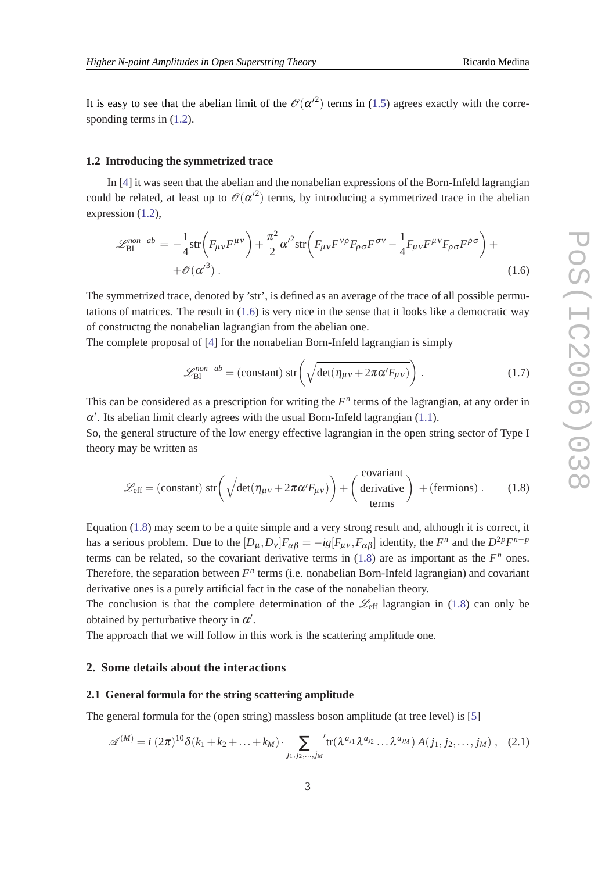<span id="page-2-0"></span>It is easy to see that the abelian limit of the  $\mathcal{O}(\alpha'^2)$  terms in ([1.5](#page-1-0)) agrees exactly with the corresponding terms in  $(1.2)$  $(1.2)$ .

#### **1.2 Introducing the symmetrized trace**

In [[4](#page-12-0)] it was seen that the abelian and the nonabelian expressions of the Born-Infeld lagrangian could be related, at least up to  $\mathcal{O}(\alpha'^2)$  terms, by introducing a symmetrized trace in the abelian expression  $(1.2)$ ,

$$
\mathcal{L}_{\text{BI}}^{\text{non-}ab} = -\frac{1}{4} \text{str} \left( F_{\mu\nu} F^{\mu\nu} \right) + \frac{\pi^2}{2} \alpha'^2 \text{str} \left( F_{\mu\nu} F^{\nu\rho} F_{\rho\sigma} F^{\sigma\nu} - \frac{1}{4} F_{\mu\nu} F^{\mu\nu} F_{\rho\sigma} F^{\rho\sigma} \right) +
$$
  
+  $\mathcal{O}(\alpha'^3)$  (1.6)

The symmetrized trace, denoted by 'str', is defined as an average of the trace of all possible permutations of matrices. The result in (1.6) is very nice in the sense that it looks like a democratic way of constructng the nonabelian lagrangian from the abelian one.

The complete proposal of [\[4\]](#page-12-0) for the nonabelian Born-Infeld lagrangian is simply

$$
\mathcal{L}_{\text{BI}}^{non-ab} = \text{(constant)} \operatorname{str}\left(\sqrt{\det(\eta_{\mu\nu} + 2\pi\alpha' F_{\mu\nu})}\right). \tag{1.7}
$$

This can be considered as a prescription for writing the  $F<sup>n</sup>$  terms of the lagrangian, at any order in  $\alpha'$ . Its abelian limit clearly agrees with the usual Born-Infeld lagrangian ([1.1](#page-1-0)).

So, the general structure of the low energy effective lagrangian in the open string sector of Type I theory may be written as

$$
\mathcal{L}_{\text{eff}} = \text{(constant) str} \left( \sqrt{\det(\eta_{\mu\nu} + 2\pi\alpha' F_{\mu\nu})} \right) + \left( \begin{array}{c} \text{covariant} \\ \text{derivative} \end{array} \right) + \text{(fermions)} . \tag{1.8}
$$

Equation (1.8) may seem to be a quite simple and a very strong result and, although it is correct, it has a serious problem. Due to the  $[D_{\mu}, D_{\nu}]F_{\alpha\beta} = -ig[F_{\mu\nu}, F_{\alpha\beta}]$  identity, the  $F^n$  and the  $D^{2p}F^{n-p}$ terms can be related, so the covariant derivative terms in  $(1.8)$  are as important as the  $F<sup>n</sup>$  ones. Therefore, the separation between  $F<sup>n</sup>$  terms (i.e. nonabelian Born-Infeld lagrangian) and covariant derivative ones is a purely artificial fact in the case of the nonabelian theory.

The conclusion is that the complete determination of the  $\mathcal{L}_{eff}$  lagrangian in (1.8) can only be obtained by perturbative theory in  $\alpha'$ .

The approach that we will follow in this work is the scattering amplitude one.

### **2. Some details about the interactions**

#### **2.1 General formula for the string scattering amplitude**

The general formula for the (open string) massless boson amplitude (at tree level) is [[5](#page-12-0)]

$$
\mathscr{A}^{(M)} = i (2\pi)^{10} \delta(k_1 + k_2 + \dots + k_M) \cdot \sum_{j_1, j_2, \dots, j_M} {}^{'} tr(\lambda^{a_{j_1}} \lambda^{a_{j_2}} \dots \lambda^{a_{j_M}}) A(j_1, j_2, \dots, j_M) , \quad (2.1)
$$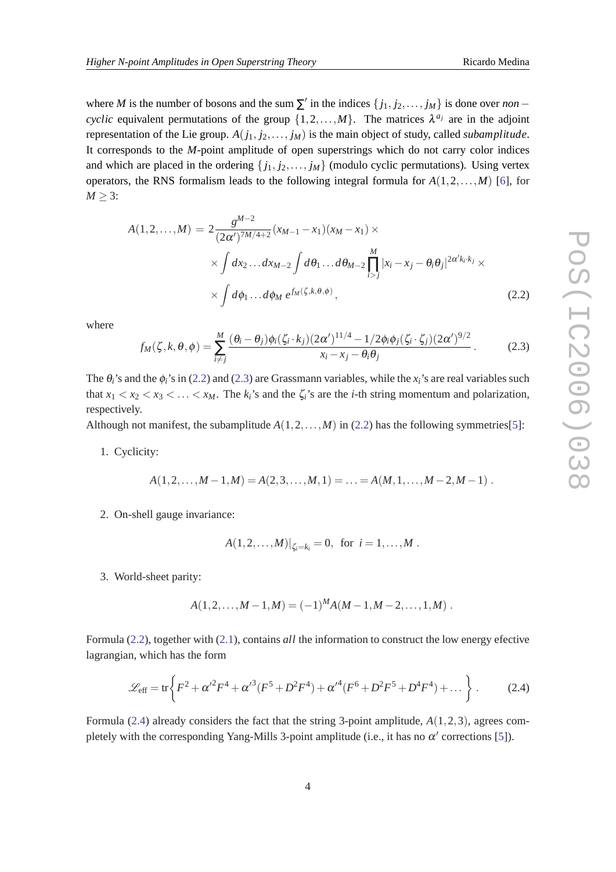<span id="page-3-0"></span>where *M* is the number of bosons and the sum  $\sum'$  in the indices  $\{j_1, j_2, \ldots, j_M\}$  is done over *non* – *cyclic* equivalent permutations of the group  $\{1, 2, ..., M\}$ . The matrices  $\lambda^{a_j}$  are in the adjoint representation of the Lie group. *A*(*j*1, *j*2,..., *jM*) is the main object of study, called *subamplitude*. It corresponds to the *M*-point amplitude of open superstrings which do not carry color indices and which are placed in the ordering  $\{j_1, j_2, \ldots, j_M\}$  (modulo cyclic permutations). Using vertex operators, the RNS formalism leads to the following integral formula for  $A(1,2,...,M)$  [\[6\]](#page-12-0), for  $M \geq 3$ :

$$
A(1,2,...,M) = 2 \frac{g^{M-2}}{(2\alpha')^{7M/4+2}} (x_{M-1} - x_1)(x_M - x_1) \times \times \int dx_2 ... dx_{M-2} \int d\theta_1 ... d\theta_{M-2} \prod_{i>j}^{M} |x_i - x_j - \theta_i \theta_j|^{2\alpha' k_i \cdot k_j} \times \times \int d\phi_1 ... d\phi_M e^{f_M(\zeta,k,\theta,\phi)},
$$
\n(2.2)

where

$$
f_M(\zeta, k, \theta, \phi) = \sum_{i \neq j}^{M} \frac{(\theta_i - \theta_j) \phi_i(\zeta_i \cdot k_j)(2\alpha')^{11/4} - 1/2\phi_i \phi_j(\zeta_i \cdot \zeta_j)(2\alpha')^{9/2}}{x_i - x_j - \theta_i \theta_j}.
$$
 (2.3)

The  $\theta_i$ 's and the  $\phi_i$ 's in (2.2) and (2.3) are Grassmann variables, while the  $x_i$ 's are real variables such that  $x_1 < x_2 < x_3 < \ldots < x_M$ . The  $k_i$ 's and the  $\zeta_i$ 's are the *i*-th string momentum and polarization, respectively.

Although not manifest, the subamplitude  $A(1,2,\ldots,M)$  in (2.2) has the following symmetries[\[5\]](#page-12-0):

1. Cyclicity:

$$
A(1,2,\ldots,M-1,M) = A(2,3,\ldots,M,1) = \ldots = A(M,1,\ldots,M-2,M-1) .
$$

2. On-shell gauge invariance:

$$
A(1,2,...,M)|_{\zeta_i=k_i}=0
$$
, for  $i=1,...,M$ .

3. World-sheet parity:

$$
A(1,2,\ldots,M-1,M) = (-1)^{M} A(M-1,M-2,\ldots,1,M) .
$$

Formula (2.2), together with [\(2.1\)](#page-2-0), contains *all* the information to construct the low energy efective lagrangian, which has the form

$$
\mathcal{L}_{\text{eff}} = \text{tr}\bigg\{F^2 + {\alpha'}^2 F^4 + {\alpha'}^3 (F^5 + D^2 F^4) + {\alpha'}^4 (F^6 + D^2 F^5 + D^4 F^4) + \dots \bigg\} \ . \tag{2.4}
$$

Formula (2.4) already considers the fact that the string 3-point amplitude, *A*(1,2,3), agrees completely with the corresponding Yang-Mills 3-point amplitude (i.e., it has no  $\alpha'$  corrections [[5](#page-12-0)]).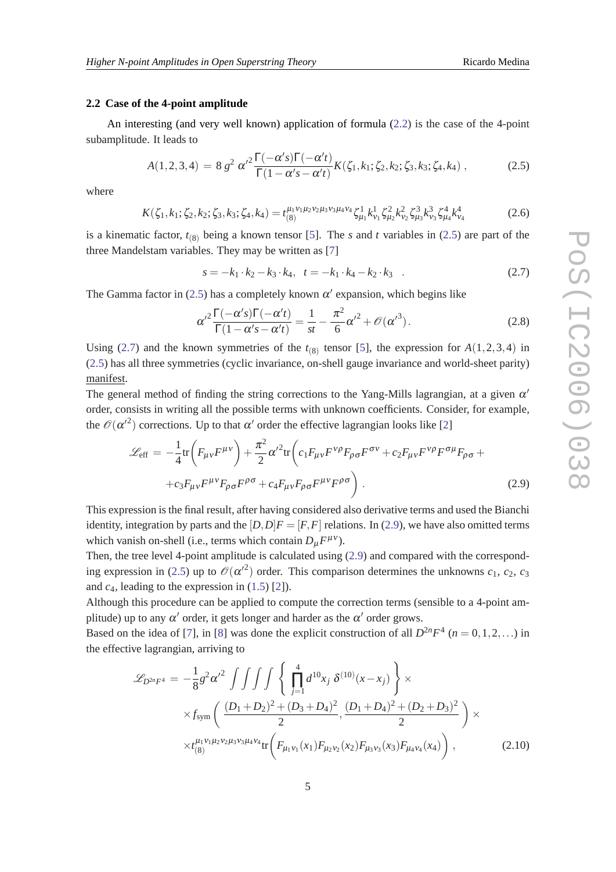#### <span id="page-4-0"></span>**2.2 Case of the 4-point amplitude**

An interesting (and very well known) application of formula ([2.2](#page-3-0)) is the case of the 4-point subamplitude. It leads to

$$
A(1,2,3,4) = 8 g2 \alpha'^{2} \frac{\Gamma(-\alpha' s) \Gamma(-\alpha' t)}{\Gamma(1 - \alpha' s - \alpha' t)} K(\zeta_1, k_1; \zeta_2, k_2; \zeta_3, k_3; \zeta_4, k_4), \qquad (2.5)
$$

where

$$
K(\zeta_1, k_1; \zeta_2, k_2; \zeta_3, k_3; \zeta_4, k_4) = t_{(8)}^{\mu_1 \nu_1 \mu_2 \nu_2 \mu_3 \nu_3 \mu_4 \nu_4} \zeta_{\mu_1}^{1} k_{\nu_1}^{1} \zeta_{\mu_2}^{2} k_{\nu_2}^{2} \zeta_{\mu_3}^{3} k_{\nu_3}^{3} \zeta_{\mu_4}^{4} k_{\nu_4}^{4}
$$
(2.6)

is a kinematic factor,  $t_{(8)}$  being a known tensor [\[5\]](#page-12-0). The *s* and *t* variables in (2.5) are part of the three Mandelstam variables. They may be written as [\[7\]](#page-12-0)

 $s = -k_1 \cdot k_2 - k_3 \cdot k_4, t = -k_1 \cdot k_4 - k_2 \cdot k_3$  . (2.7)

The Gamma factor in (2.5) has a completely known  $\alpha'$  expansion, which begins like

$$
\alpha'^2 \frac{\Gamma(-\alpha'^2)\Gamma(-\alpha'^2)}{\Gamma(1-\alpha'^2-\alpha'^2)} = \frac{1}{st} - \frac{\pi^2}{6}\alpha'^2 + \mathcal{O}(\alpha'^3). \tag{2.8}
$$

Using (2.7) and the known symmetries of the  $t_{(8)}$  tensor [[5](#page-12-0)], the expression for  $A(1,2,3,4)$  in (2.5) has all three symmetries (cyclic invariance, on-shell gauge invariance and world-sheet parity) manifest.

The general method of finding the string corrections to the Yang-Mills lagrangian, at a given  $\alpha'$ order, consists in writing all the possible terms with unknown coefficients. Consider, for example, the  $\mathcal{O}(\alpha'^2)$  corrections. Up to that  $\alpha'$  order the effective lagrangian looks like [\[2\]](#page-12-0)

$$
\mathcal{L}_{\text{eff}} = -\frac{1}{4} \text{tr} \left( F_{\mu\nu} F^{\mu\nu} \right) + \frac{\pi^2}{2} \alpha'^2 \text{tr} \left( c_1 F_{\mu\nu} F^{\nu\rho} F_{\rho\sigma} F^{\sigma\nu} + c_2 F_{\mu\nu} F^{\nu\rho} F^{\sigma\mu} F_{\rho\sigma} + c_3 F_{\mu\nu} F^{\mu\nu} F_{\rho\sigma} F^{\rho\sigma} + c_4 F_{\mu\nu} F_{\rho\sigma} F^{\mu\nu} F^{\rho\sigma} \right) . \tag{2.9}
$$

This expression is the final result, after having considered also derivative terms and used the Bianchi identity, integration by parts and the  $[D, D]F = [F, F]$  relations. In (2.9), we have also omitted terms which vanish on-shell (i.e., terms which contain  $D_{\mu}F^{\mu\nu}$ ).

Then, the tree level 4-point amplitude is calculated using (2.9) and compared with the corresponding expression in (2.5) up to  $\mathcal{O}(\alpha'^2)$  order. This comparison determines the unknowns  $c_1, c_2, c_3$ and  $c_4$ , leading to the expression in  $(1.5)$  $(1.5)$  $(1.5)$  [\[2\]](#page-12-0)).

Although this procedure can be applied to compute the correction terms (sensible to a 4-point amplitude) up to any  $\alpha'$  order, it gets longer and harder as the  $\alpha'$  order grows.

Based on the idea of [\[7\]](#page-12-0), in [[8\]](#page-12-0) was done the explicit construction of all  $D^{2n}F^4$  ( $n = 0, 1, 2, ...$ ) in the effective lagrangian, arriving to

$$
\mathcal{L}_{D^{2n}F^4} = -\frac{1}{8}g^2\alpha'^2 \int \int \int \int \left\{ \prod_{j=1}^4 d^{10}x_j \ \delta^{(10)}(x-x_j) \right\} \times \times f_{sym} \left( \frac{(D_1+D_2)^2 + (D_3+D_4)^2}{2}, \frac{(D_1+D_4)^2 + (D_2+D_3)^2}{2} \right) \times \times t_{(8)}^{\mu_1 \nu_1 \mu_2 \nu_2 \mu_3 \nu_3 \mu_4 \nu_4} \text{tr} \left( F_{\mu_1 \nu_1}(x_1) F_{\mu_2 \nu_2}(x_2) F_{\mu_3 \nu_3}(x_3) F_{\mu_4 \nu_4}(x_4) \right),
$$
\n(2.10)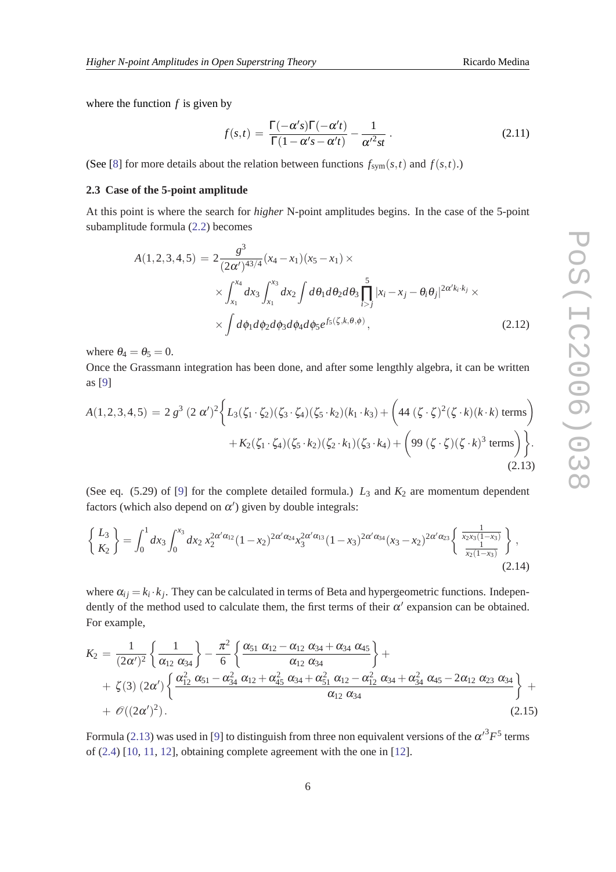<span id="page-5-0"></span>where the function *f* is given by

$$
f(s,t) = \frac{\Gamma(-\alpha's)\Gamma(-\alpha't)}{\Gamma(1-\alpha's-\alpha't)} - \frac{1}{\alpha'^2st}.
$$
 (2.11)

(See [\[8\]](#page-12-0) for more details about the relation between functions  $f_{sym}(s,t)$  and  $f(s,t)$ .)

#### **2.3 Case of the 5-point amplitude**

At this point is where the search for *higher* N-point amplitudes begins. In the case of the 5-point subamplitude formula ([2.2](#page-3-0)) becomes

$$
A(1,2,3,4,5) = 2 \frac{g^3}{(2\alpha')^{43/4}} (x_4 - x_1)(x_5 - x_1) \times \times \int_{x_1}^{x_4} dx_3 \int_{x_1}^{x_3} dx_2 \int d\theta_1 d\theta_2 d\theta_3 \prod_{i>j}^5 |x_i - x_j - \theta_i \theta_j|^{2\alpha' k_i \cdot k_j} \times \int d\phi_1 d\phi_2 d\phi_3 d\phi_4 d\phi_5 e^{f_5(\zeta, k, \theta, \phi)},
$$
\n(2.12)

where  $\theta_4 = \theta_5 = 0$ .

Once the Grassmann integration has been done, and after some lengthly algebra, it can be written as [[9](#page-12-0)]

$$
A(1,2,3,4,5) = 2 g3 (2 \alpha')2 \Biggl\{ L_3(\zeta_1 \cdot \zeta_2)(\zeta_3 \cdot \zeta_4)(\zeta_5 \cdot k_2)(k_1 \cdot k_3) + \Biggl( 44 (\zeta \cdot \zeta)^2 (\zeta \cdot k)(k \cdot k) \text{ terms} \Biggr) + K_2(\zeta_1 \cdot \zeta_4)(\zeta_5 \cdot k_2)(\zeta_2 \cdot k_1)(\zeta_3 \cdot k_4) + \Biggl( 99 (\zeta \cdot \zeta)(\zeta \cdot k)^3 \text{ terms} \Biggr) \Biggr\}.
$$
\n(2.13)

(See eq.  $(5.29)$  of [\[9\]](#page-12-0) for the complete detailed formula.)  $L_3$  and  $K_2$  are momentum dependent factors (which also depend on  $\alpha'$ ) given by double integrals:

$$
\begin{Bmatrix} L_3 \\ K_2 \end{Bmatrix} = \int_0^1 dx_3 \int_0^{x_3} dx_2 \, x_2^{2\alpha/\alpha_{12}} (1-x_2)^{2\alpha/\alpha_{24}} x_3^{2\alpha/\alpha_{13}} (1-x_3)^{2\alpha/\alpha_{34}} (x_3-x_2)^{2\alpha/\alpha_{23}} \begin{Bmatrix} \frac{1}{x_2 x_3 (1-x_3)} \\ \frac{1}{x_2 (1-x_3)} \end{Bmatrix},
$$
\n(2.14)

where  $\alpha_{ij} = k_i \cdot k_j$ . They can be calculated in terms of Beta and hypergeometric functions. Independently of the method used to calculate them, the first terms of their  $\alpha'$  expansion can be obtained. For example,

$$
K_2 = \frac{1}{(2\alpha')^2} \left\{ \frac{1}{\alpha_{12} \alpha_{34}} \right\} - \frac{\pi^2}{6} \left\{ \frac{\alpha_{51} \alpha_{12} - \alpha_{12} \alpha_{34} + \alpha_{34} \alpha_{45}}{\alpha_{12} \alpha_{34}} \right\} + \\ + \zeta(3) (2\alpha') \left\{ \frac{\alpha_{12}^2 \alpha_{51} - \alpha_{34}^2 \alpha_{12} + \alpha_{45}^2 \alpha_{34} + \alpha_{51}^2 \alpha_{12} - \alpha_{12}^2 \alpha_{34} + \alpha_{34}^2 \alpha_{45} - 2\alpha_{12} \alpha_{23} \alpha_{34}}{\alpha_{12} \alpha_{34}} \right\} + \\ + \mathcal{O}((2\alpha')^2). \tag{2.15}
$$

Formula (2.13) was used in [[9](#page-12-0)] to distinguish from three non equivalent versions of the  $\alpha'^3 F^5$  terms of ([2.4](#page-3-0)) [\[10](#page-12-0), [11,](#page-12-0) [12](#page-12-0)], obtaining complete agreement with the one in [\[12](#page-12-0)].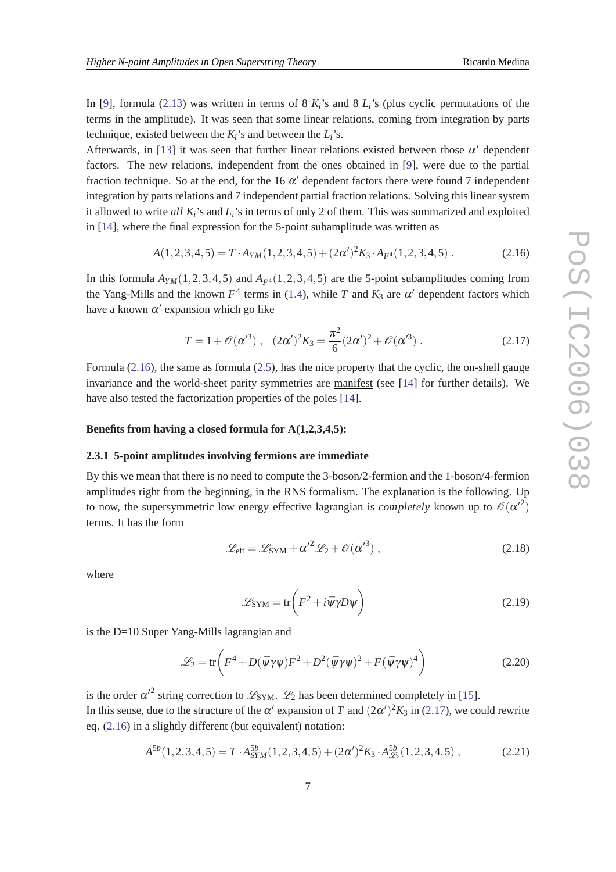<span id="page-6-0"></span>In [[9](#page-12-0)], formula [\(2.13](#page-5-0)) was written in terms of 8  $K_i$ 's and 8  $L_i$ 's (plus cyclic permutations of the terms in the amplitude). It was seen that some linear relations, coming from integration by parts technique, existed between the  $K_i$ 's and between the  $L_i$ 's.

Afterwards, in [\[13](#page-12-0)] it was seen that further linear relations existed between those  $\alpha'$  dependent factors. The new relations, independent from the ones obtained in [[9](#page-12-0)], were due to the partial fraction technique. So at the end, for the 16  $\alpha'$  dependent factors there were found 7 independent integration by parts relations and 7 independent partial fraction relations. Solving this linear system it allowed to write *all Ki*'s and *Li*'s in terms of only 2 of them. This was summarized and exploited in [\[14](#page-12-0)], where the final expression for the 5-point subamplitude was written as

$$
A(1,2,3,4,5) = T \cdot A_{YM}(1,2,3,4,5) + (2\alpha')^2 K_3 \cdot A_{F^4}(1,2,3,4,5) \tag{2.16}
$$

In this formula  $A_{YM}(1,2,3,4,5)$  and  $A_{F4}(1,2,3,4,5)$  are the 5-point subamplitudes coming from the Yang-Mills and the known  $F^4$  terms in ([1.4](#page-1-0)), while *T* and  $K_3$  are  $\alpha'$  dependent factors which have a known  $\alpha'$  expansion which go like

$$
T = 1 + \mathcal{O}(\alpha'^3) , \quad (2\alpha')^2 K_3 = \frac{\pi^2}{6} (2\alpha')^2 + \mathcal{O}(\alpha'^3) . \tag{2.17}
$$

Formula (2.16), the same as formula ([2.5](#page-4-0)), has the nice property that the cyclic, the on-shell gauge invariance and the world-sheet parity symmetries are manifest (see [[14\]](#page-12-0) for further details). We have also tested the factorization properties of the poles [\[14](#page-12-0)].

#### **Benefits from having a closed formula for A(1,2,3,4,5):**

#### **2.3.1 5-point amplitudes involving fermions are immediate**

By this we mean that there is no need to compute the 3-boson/2-fermion and the 1-boson/4-fermion amplitudes right from the beginning, in the RNS formalism. The explanation is the following. Up to now, the supersymmetric low energy effective lagrangian is *completely* known up to  $\mathcal{O}(\alpha'^2)$ terms. It has the form

$$
\mathcal{L}_{\text{eff}} = \mathcal{L}_{\text{SYM}} + {\alpha'}^2 \mathcal{L}_2 + \mathcal{O}({\alpha'}^3) , \qquad (2.18)
$$

where

$$
\mathcal{L}_{\text{SYM}} = \text{tr}\left(F^2 + i\bar{\psi}\gamma D\psi\right) \tag{2.19}
$$

is the D=10 Super Yang-Mills lagrangian and

$$
\mathcal{L}_2 = \text{tr}\left(F^4 + D(\bar{\psi}\gamma\psi)F^2 + D^2(\bar{\psi}\gamma\psi)^2 + F(\bar{\psi}\gamma\psi)^4\right)
$$
(2.20)

is the order  $\alpha'^2$  string correction to  $\mathscr{L}_{\text{SYM}}$ .  $\mathscr{L}_2$  has been determined completely in [\[15](#page-12-0)]. In this sense, due to the structure of the  $\alpha'$  expansion of *T* and  $(2\alpha')^2 K_3$  in (2.17), we could rewrite eq. (2.16) in a slightly different (but equivalent) notation:

$$
A^{5b}(1,2,3,4,5) = T \cdot A_{SYM}^{5b}(1,2,3,4,5) + (2\alpha')^2 K_3 \cdot A_{\mathscr{L}_2}^{5b}(1,2,3,4,5) , \qquad (2.21)
$$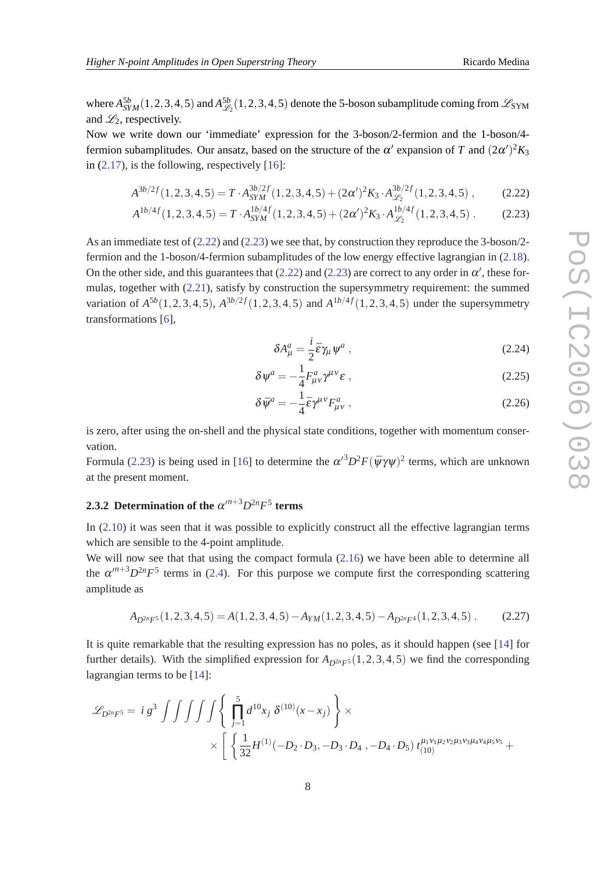where  $A_{SYM}^{5b}(1,2,3,4,5)$  and  $A_{\mathscr{L}}^{5b}$  $\mathcal{L}_{22}^{5b}(1,2,3,4,5)$  denote the 5-boson subamplitude coming from  $\mathcal{L}_{\text{SYM}}$ and  $\mathcal{L}_2$ , respectively.

Now we write down our 'immediate' expression for the 3-boson/2-fermion and the 1-boson/4 fermion subamplitudes. Our ansatz, based on the structure of the  $\alpha'$  expansion of *T* and  $(2\alpha')^2 K_3$ in  $(2.17)$  $(2.17)$ , is the following, respectively  $[16]$  $[16]$ :

$$
A^{3b/2f}(1,2,3,4,5) = T \cdot A_{SYM}^{3b/2f}(1,2,3,4,5) + (2\alpha')^2 K_3 \cdot A_{\mathscr{L}_2}^{3b/2f}(1,2,3,4,5) ,\qquad (2.22)
$$

$$
A^{1b/4f}(1,2,3,4,5) = T \cdot A_{SYM}^{1b/4f}(1,2,3,4,5) + (2\alpha')^2 K_3 \cdot A_{\mathscr{L}_2}^{1b/4f}(1,2,3,4,5) \,. \tag{2.23}
$$

As an immediate test of (2.22) and (2.23) we see that, by construction they reproduce the 3-boson/2 fermion and the 1-boson/4-fermion subamplitudes of the low energy effective lagrangian in [\(2.18\)](#page-6-0). On the other side, and this guarantees that (2.22) and (2.23) are correct to any order in  $\alpha'$ , these formulas, together with [\(2.21](#page-6-0)), satisfy by construction the supersymmetry requirement: the summed variation of  $A^{5b}(1,2,3,4,5)$ ,  $A^{3b/2f}(1,2,3,4,5)$  and  $A^{1b/4f}(1,2,3,4,5)$  under the supersymmetry transformations [\[6\]](#page-12-0),

$$
\delta A^a_\mu = \frac{i}{2} \bar{\varepsilon} \gamma_\mu \psi^a \,, \tag{2.24}
$$

$$
\delta \psi^a = -\frac{1}{4} F^a_{\mu\nu} \gamma^{\mu\nu} \varepsilon \;, \tag{2.25}
$$

$$
\delta \bar{\psi}^a = -\frac{1}{4} \bar{\varepsilon} \gamma^{\mu \nu} F^a_{\mu \nu} , \qquad (2.26)
$$

is zero, after using the on-shell and the physical state conditions, together with momentum conservation.

Formula (2.23) is being used in [\[16](#page-12-0)] to determine the  $\alpha'^3 D^2 F (\bar{\psi} \gamma \psi)^2$  terms, which are unknown at the present moment.

# **2.3.2 Determination of the**  $\alpha^{m+3}D^{2n}F^5$  **terms**

In [\(2.10\)](#page-4-0) it was seen that it was possible to explicitly construct all the effective lagrangian terms which are sensible to the 4-point amplitude.

We will now see that that using the compact formula  $(2.16)$  $(2.16)$  we have been able to determine all the  $\alpha^{n+3}D^{2n}F^5$  terms in [\(2.4](#page-3-0)). For this purpose we compute first the corresponding scattering amplitude as

$$
A_{D^{2n}F^5}(1,2,3,4,5) = A(1,2,3,4,5) - A_{YM}(1,2,3,4,5) - A_{D^{2n}F^4}(1,2,3,4,5) \,. \tag{2.27}
$$

It is quite remarkable that the resulting expression has no poles, as it should happen (see [[14](#page-12-0)] for further details). With the simplified expression for  $A_{D^{2n}F^5}(1,2,3,4,5)$  we find the corresponding lagrangian terms to be [[14\]](#page-12-0):

$$
\mathscr{L}_{D^{2n}F^5} = i g^3 \int \int \int \int \int \left\{ \prod_{j=1}^5 d^{10}x_j \, \delta^{(10)}(x - x_j) \right\} \times \\ \times \left[ \left\{ \frac{1}{32} H^{(1)}(-D_2 \cdot D_3, -D_3 \cdot D_4, -D_4 \cdot D_5) \, t_{(10)}^{\mu_1 \nu_1 \mu_2 \nu_2 \mu_3 \nu_3 \mu_4 \nu_4 \mu_5 \nu_5} + \cdots \right\} \right]
$$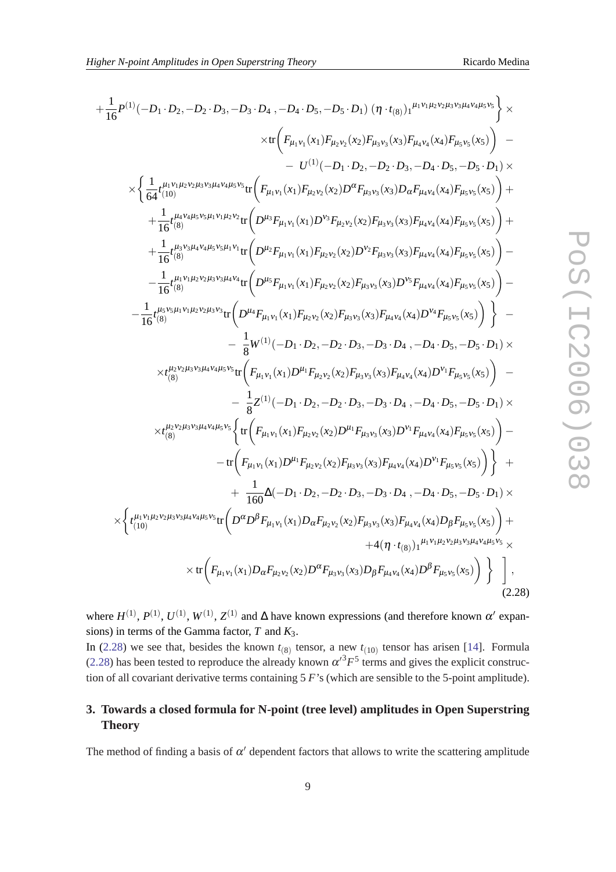$$
+\frac{1}{16}P^{(1)}(-D_1 \cdot D_2, -D_2 \cdot D_3, -D_3 \cdot D_4, -D_4 \cdot D_5, -D_5 \cdot D_1) (\eta \cdot t_{(8)})_1^{\mu_1 v_1 \mu_2 v_2 \mu_3 v_3 \mu_4 v_4 \mu_5 v_5} \times
$$
  
\n
$$
\times \Biggl\{ \frac{1}{64} t_{(10)}^{\mu_1 v_1 \mu_2 v_2 \mu_3 v_3 \mu_4 v_4 \mu_5 v_5} \frac{1}{48} t_{(10)}^{\mu_1 v_1 \mu_2 v_2 \mu_3 v_3 \mu_4 v_4 \mu_5 v_5} \frac{1}{48} t_{(11)}^{\mu_1 v_1 \mu_2 v_2 \mu_3 v_3 \mu_4 v_4 \mu_5 v_5} \frac{1}{48} t_{(11)}^{\mu_1 v_1 \mu_2 v_2 \mu_3 v_3 \mu_4 v_4 \mu_5 v_5} \frac{1}{48} t_{(12)}^{\mu_1 v_1 \mu_2 v_2 \mu_3 v_3 \mu_4 v_4 \mu_5 v_5} \frac{1}{48} t_{(13)}^{\mu_1 v_1 \mu_2 v_2 \mu_3 v_3 \mu_4 v_4 \mu_5 v_5} \frac{1}{48} t_{(14)}^{\mu_1 v_1 \mu_2 v_2 \mu_3 v_4 \mu_5 v_5} \frac{1}{48} t_{(15)}^{\mu_1 v_1 \mu_2 v_2 \mu_5} \Biggl\} + \frac{1}{16} t_{(8)}^{\mu_1 v_1 \mu_2 v_2 \mu_3 v_3 \mu_1 v_1} \frac{1}{48} t_{(15)}^{\mu_1 v_1 \mu_2 v_2 \mu_3 v_4 \mu_5 v_5} \frac{1}{48} t_{(16)}^{\mu_1 v_1 \mu_2 v_2 \mu_5 v_3 \mu_5 v_4} \frac{1}{48} t_{(17)}^{\mu_1 v_1 \mu_2 v_2 \mu_5 v_3 \mu_5 v_4} \frac{1}{48} t_{(18)}^{\mu_1 v_1 \mu_3 v_2 \mu_5 v_3 \mu_5 v_4} \frac{1}{48} t_{(19)}^{\mu_1
$$

where  $H^{(1)}$ ,  $P^{(1)}$ ,  $U^{(1)}$ ,  $W^{(1)}$ ,  $Z^{(1)}$  and  $\Delta$  have known expressions (and therefore known  $\alpha'$  expansions) in terms of the Gamma factor, *T* and *K*3.

In (2.28) we see that, besides the known  $t_{(8)}$  tensor, a new  $t_{(10)}$  tensor has arisen [[14\]](#page-12-0). Formula (2.28) has been tested to reproduce the already known  $\alpha^{3}F^{5}$  terms and gives the explicit construction of all covariant derivative terms containing 5 *F*'s (which are sensible to the 5-point amplitude).

# **3. Towards a closed formula for N-point (tree level) amplitudes in Open Superstring Theory**

The method of finding a basis of  $\alpha'$  dependent factors that allows to write the scattering amplitude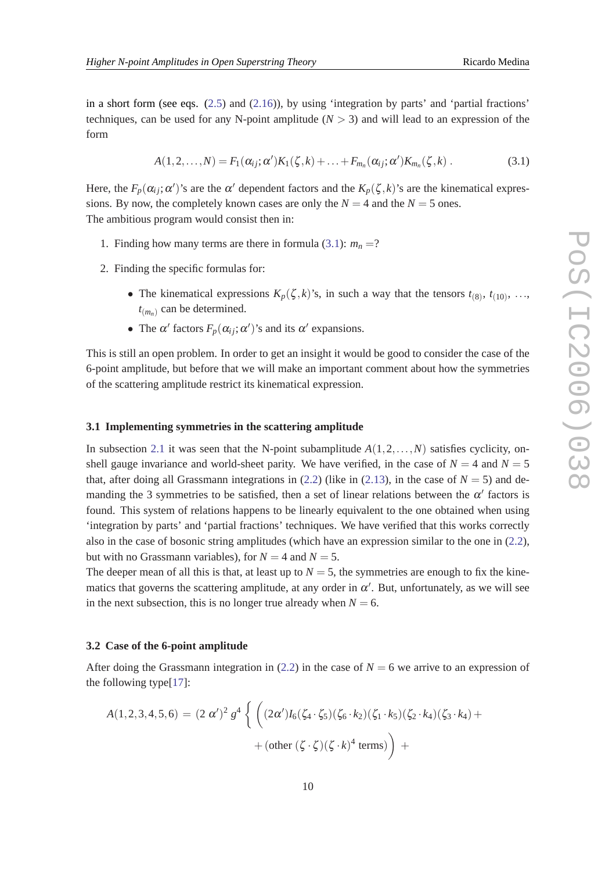<span id="page-9-0"></span>in a short form (see eqs. [\(2.5\)](#page-4-0) and ([2.16\)](#page-6-0)), by using 'integration by parts' and 'partial fractions' techniques, can be used for any N-point amplitude  $(N > 3)$  and will lead to an expression of the form

$$
A(1,2,\ldots,N)=F_1(\alpha_{ij};\alpha')K_1(\zeta,k)+\ldots+F_{m_n}(\alpha_{ij};\alpha')K_{m_n}(\zeta,k).
$$
\n(3.1)

Here, the  $F_p(\alpha_{ij}; \alpha')$ 's are the  $\alpha'$  dependent factors and the  $K_p(\zeta, k)$ 's are the kinematical expressions. By now, the completely known cases are only the  $N = 4$  and the  $N = 5$  ones. The ambitious program would consist then in:

- 1. Finding how many terms are there in formula (3.1):  $m_n = ?$
- 2. Finding the specific formulas for:
	- The kinematical expressions  $K_p(\zeta, k)$ 's, in such a way that the tensors  $t_{(8)}$ ,  $t_{(10)}$ , ...,  $t_{(m_n)}$  can be determined.
	- The  $\alpha'$  factors  $F_p(\alpha_{ij}; \alpha')$ 's and its  $\alpha'$  expansions.

This is still an open problem. In order to get an insight it would be good to consider the case of the 6-point amplitude, but before that we will make an important comment about how the symmetries of the scattering amplitude restrict its kinematical expression.

#### **3.1 Implementing symmetries in the scattering amplitude**

In subsection [2.1](#page-2-0) it was seen that the N-point subamplitude  $A(1,2,...,N)$  satisfies cyclicity, onshell gauge invariance and world-sheet parity. We have verified, in the case of  $N = 4$  and  $N = 5$ that, after doing all Grassmann integrations in  $(2.2)$  $(2.2)$  (like in  $(2.13)$  $(2.13)$ , in the case of  $N = 5$ ) and demanding the 3 symmetries to be satisfied, then a set of linear relations between the  $\alpha'$  factors is found. This system of relations happens to be linearly equivalent to the one obtained when using 'integration by parts' and 'partial fractions' techniques. We have verified that this works correctly also in the case of bosonic string amplitudes (which have an expression similar to the one in ([2.2\)](#page-3-0), but with no Grassmann variables), for  $N = 4$  and  $N = 5$ .

The deeper mean of all this is that, at least up to  $N = 5$ , the symmetries are enough to fix the kinematics that governs the scattering amplitude, at any order in  $\alpha'$ . But, unfortunately, as we will see in the next subsection, this is no longer true already when  $N = 6$ .

#### **3.2 Case of the 6-point amplitude**

After doing the Grassmann integration in ([2.2](#page-3-0)) in the case of  $N = 6$  we arrive to an expression of the following type[[17\]](#page-12-0):

$$
A(1,2,3,4,5,6) = (2 \alpha')^{2} g^{4} \left\{ \left( (2 \alpha') I_{6}(\zeta_{4} \cdot \zeta_{5}) (\zeta_{6} \cdot k_{2}) (\zeta_{1} \cdot k_{5}) (\zeta_{2} \cdot k_{4}) (\zeta_{3} \cdot k_{4}) + \left( \text{other } (\zeta \cdot \zeta) (\zeta \cdot k)^{4} \text{ terms} \right) \right) + \right.
$$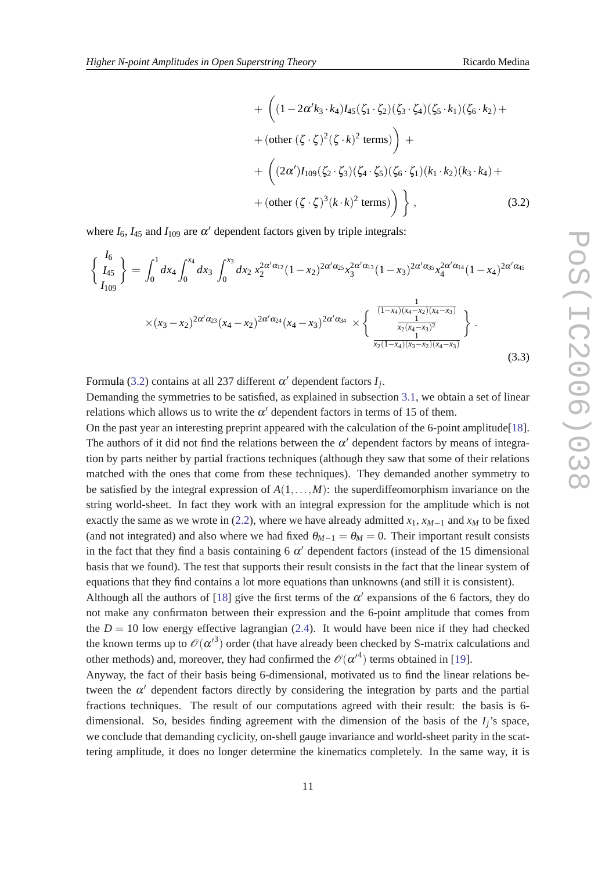+ 
$$
\left( (1 - 2\alpha' k_3 \cdot k_4) I_{45}(\zeta_1 \cdot \zeta_2) (\zeta_3 \cdot \zeta_4) (\zeta_5 \cdot k_1) (\zeta_6 \cdot k_2) +
$$
  
+  $(\text{other } (\zeta \cdot \zeta)^2 (\zeta \cdot k)^2 \text{ terms}) \right) +$   
+  $\left( (2\alpha') I_{109} (\zeta_2 \cdot \zeta_3) (\zeta_4 \cdot \zeta_5) (\zeta_6 \cdot \zeta_1) (k_1 \cdot k_2) (k_3 \cdot k_4) +$   
+  $(\text{other } (\zeta \cdot \zeta)^3 (k \cdot k)^2 \text{ terms}) \right) \},$  (3.2)

where  $I_6$ ,  $I_{45}$  and  $I_{109}$  are  $\alpha'$  dependent factors given by triple integrals:

$$
\begin{aligned}\n\left\{\n\frac{I_6}{I_{45}}\n\right\} &= \int_0^1 dx_4 \int_0^{x_4} dx_3 \int_0^{x_3} dx_2 \, x_2^{2\alpha/\alpha_{12}} (1-x_2)^{2\alpha/\alpha_{25}} x_3^{2\alpha/\alpha_{13}} (1-x_3)^{2\alpha/\alpha_{35}} x_4^{2\alpha/\alpha_{14}} (1-x_4)^{2\alpha/\alpha_{45}} \\
&\times (x_3 - x_2)^{2\alpha/\alpha_{23}} (x_4 - x_2)^{2\alpha/\alpha_{24}} (x_4 - x_3)^{2\alpha/\alpha_{34}} \times \left\{\n\frac{\frac{1}{(1-x_4)(x_4 - x_2)(x_4 - x_3)}}{\frac{1}{x_2(x_4 - x_3)^2}}\n\right\}.\n\end{aligned}
$$
\n(3.3)

Formula (3.2) contains at all 237 different  $\alpha'$  dependent factors  $I_j$ .

Demanding the symmetries to be satisfied, as explained in subsection [3.1,](#page-9-0) we obtain a set of linear relations which allows us to write the  $\alpha'$  dependent factors in terms of 15 of them.

On the past year an interesting preprint appeared with the calculation of the 6-point amplitude[[18\]](#page-12-0). The authors of it did not find the relations between the  $\alpha'$  dependent factors by means of integration by parts neither by partial fractions techniques (although they saw that some of their relations matched with the ones that come from these techniques). They demanded another symmetry to be satisfied by the integral expression of  $A(1,\ldots,M)$ : the superdiffeomorphism invariance on the string world-sheet. In fact they work with an integral expression for the amplitude which is not exactly the same as we wrote in ([2.2](#page-3-0)), where we have already admitted  $x_1$ ,  $x_{M-1}$  and  $x_M$  to be fixed (and not integrated) and also where we had fixed  $\theta_{M-1} = \theta_M = 0$ . Their important result consists in the fact that they find a basis containing 6  $\alpha'$  dependent factors (instead of the 15 dimensional basis that we found). The test that supports their result consists in the fact that the linear system of equations that they find contains a lot more equations than unknowns (and still it is consistent).

Although all the authors of [\[18](#page-12-0)] give the first terms of the  $\alpha'$  expansions of the 6 factors, they do not make any confirmaton between their expression and the 6-point amplitude that comes from the  $D = 10$  low energy effective lagrangian [\(2.4](#page-3-0)). It would have been nice if they had checked the known terms up to  $\mathcal{O}(\alpha'^3)$  order (that have already been checked by S-matrix calculations and other methods) and, moreover, they had confirmed the  $\mathcal{O}(\alpha'^4)$  terms obtained in [[19](#page-12-0)].

Anyway, the fact of their basis being 6-dimensional, motivated us to find the linear relations between the  $\alpha'$  dependent factors directly by considering the integration by parts and the partial fractions techniques. The result of our computations agreed with their result: the basis is 6 dimensional. So, besides finding agreement with the dimension of the basis of the *Ij*'s space, we conclude that demanding cyclicity, on-shell gauge invariance and world-sheet parity in the scattering amplitude, it does no longer determine the kinematics completely. In the same way, it is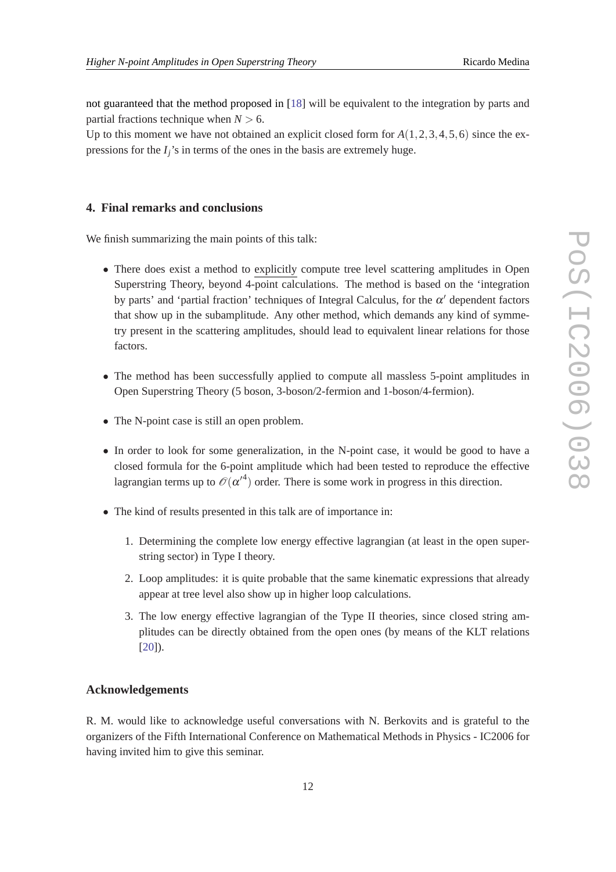not guaranteed that the method proposed in [[18\]](#page-12-0) will be equivalent to the integration by parts and partial fractions technique when  $N > 6$ .

Up to this moment we have not obtained an explicit closed form for  $A(1,2,3,4,5,6)$  since the expressions for the *Ij*'s in terms of the ones in the basis are extremely huge.

#### **4. Final remarks and conclusions**

We finish summarizing the main points of this talk:

- There does exist a method to explicitly compute tree level scattering amplitudes in Open Superstring Theory, beyond 4-point calculations. The method is based on the 'integration by parts' and 'partial fraction' techniques of Integral Calculus, for the  $\alpha'$  dependent factors that show up in the subamplitude. Any other method, which demands any kind of symmetry present in the scattering amplitudes, should lead to equivalent linear relations for those factors.
- The method has been successfully applied to compute all massless 5-point amplitudes in Open Superstring Theory (5 boson, 3-boson/2-fermion and 1-boson/4-fermion).
- The N-point case is still an open problem.
- In order to look for some generalization, in the N-point case, it would be good to have a closed formula for the 6-point amplitude which had been tested to reproduce the effective lagrangian terms up to  $\mathcal{O}(\alpha'^4)$  order. There is some work in progress in this direction.
- The kind of results presented in this talk are of importance in:
	- 1. Determining the complete low energy effective lagrangian (at least in the open superstring sector) in Type I theory.
	- 2. Loop amplitudes: it is quite probable that the same kinematic expressions that already appear at tree level also show up in higher loop calculations.
	- 3. The low energy effective lagrangian of the Type II theories, since closed string amplitudes can be directly obtained from the open ones (by means of the KLT relations [[20\]](#page-12-0)).

## **Acknowledgements**

R. M. would like to acknowledge useful conversations with N. Berkovits and is grateful to the organizers of the Fifth International Conference on Mathematical Methods in Physics - IC2006 for having invited him to give this seminar.